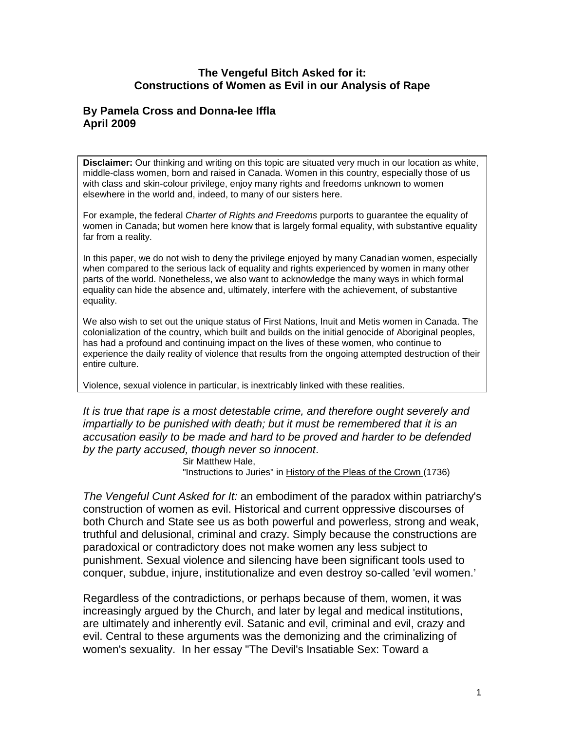#### **The Vengeful Bitch Asked for it: Constructions of Women as Evil in our Analysis of Rape**

# **By Pamela Cross and Donna-lee Iffla April 2009**

**Disclaimer:** Our thinking and writing on this topic are situated very much in our location as white, middle-class women, born and raised in Canada. Women in this country, especially those of us with class and skin-colour privilege, enjoy many rights and freedoms unknown to women elsewhere in the world and, indeed, to many of our sisters here.

For example, the federal *Charter of Rights and Freedoms* purports to guarantee the equality of women in Canada; but women here know that is largely formal equality, with substantive equality far from a reality.

In this paper, we do not wish to deny the privilege enjoyed by many Canadian women, especially when compared to the serious lack of equality and rights experienced by women in many other parts of the world. Nonetheless, we also want to acknowledge the many ways in which formal equality can hide the absence and, ultimately, interfere with the achievement, of substantive equality.

We also wish to set out the unique status of First Nations, Inuit and Metis women in Canada. The colonialization of the country, which built and builds on the initial genocide of Aboriginal peoples, has had a profound and continuing impact on the lives of these women, who continue to experience the daily reality of violence that results from the ongoing attempted destruction of their entire culture.

Violence, sexual violence in particular, is inextricably linked with these realities.

*It is true that rape is a most detestable crime, and therefore ought severely and impartially to be punished with death; but it must be remembered that it is an accusation easily to be made and hard to be proved and harder to be defended by the party accused, though never so innocent*.

Sir Matthew Hale, "Instructions to Juries" in History of the Pleas of the Crown (1736)

*The Vengeful Cunt Asked for It:* an embodiment of the paradox within patriarchy's construction of women as evil. Historical and current oppressive discourses of both Church and State see us as both powerful and powerless, strong and weak, truthful and delusional, criminal and crazy. Simply because the constructions are paradoxical or contradictory does not make women any less subject to punishment. Sexual violence and silencing have been significant tools used to conquer, subdue, injure, institutionalize and even destroy so-called 'evil women.'

Regardless of the contradictions, or perhaps because of them, women, it was increasingly argued by the Church, and later by legal and medical institutions, are ultimately and inherently evil. Satanic and evil, criminal and evil, crazy and evil. Central to these arguments was the demonizing and the criminalizing of women's sexuality. In her essay "The Devil's Insatiable Sex: Toward a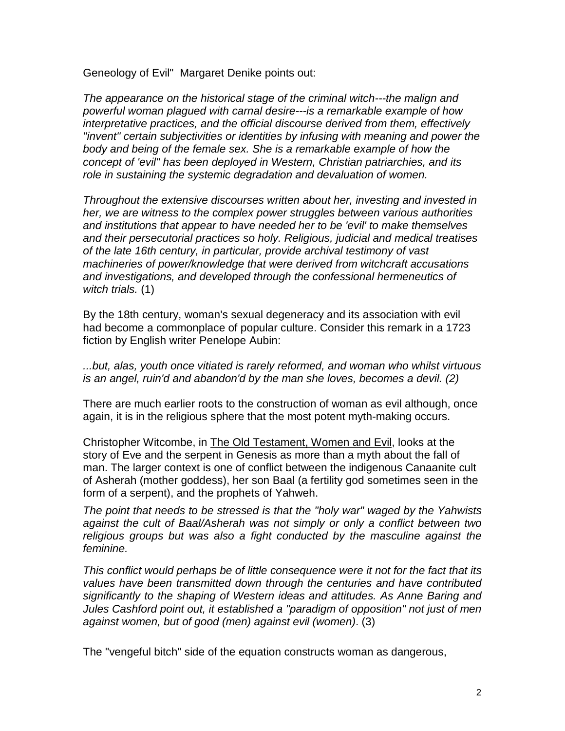Geneology of Evil" Margaret Denike points out:

*The appearance on the historical stage of the criminal witch---the malign and powerful woman plagued with carnal desire---is a remarkable example of how interpretative practices, and the official discourse derived from them, effectively "invent" certain subjectivities or identities by infusing with meaning and power the body and being of the female sex. She is a remarkable example of how the concept of 'evil" has been deployed in Western, Christian patriarchies, and its role in sustaining the systemic degradation and devaluation of women.*

*Throughout the extensive discourses written about her, investing and invested in her, we are witness to the complex power struggles between various authorities and institutions that appear to have needed her to be 'evil' to make themselves and their persecutorial practices so holy. Religious, judicial and medical treatises of the late 16th century, in particular, provide archival testimony of vast machineries of power/knowledge that were derived from witchcraft accusations and investigations, and developed through the confessional hermeneutics of witch trials.* (1)

By the 18th century, woman's sexual degeneracy and its association with evil had become a commonplace of popular culture. Consider this remark in a 1723 fiction by English writer Penelope Aubin:

*...but, alas, youth once vitiated is rarely reformed, and woman who whilst virtuous is an angel, ruin'd and abandon'd by the man she loves, becomes a devil. (2)*

There are much earlier roots to the construction of woman as evil although, once again, it is in the religious sphere that the most potent myth-making occurs.

Christopher Witcombe, in The Old Testament, Women and Evil, looks at the story of Eve and the serpent in Genesis as more than a myth about the fall of man. The larger context is one of conflict between the indigenous Canaanite cult of Asherah (mother goddess), her son Baal (a fertility god sometimes seen in the form of a serpent), and the prophets of Yahweh.

*The point that needs to be stressed is that the "holy war" waged by the Yahwists against the cult of Baal/Asherah was not simply or only a conflict between two religious groups but was also a fight conducted by the masculine against the feminine.* 

*This conflict would perhaps be of little consequence were it not for the fact that its values have been transmitted down through the centuries and have contributed significantly to the shaping of Western ideas and attitudes. As Anne Baring and Jules Cashford point out, it established a "paradigm of opposition" not just of men against women, but of good (men) against evil (women)*. (3)

The "vengeful bitch" side of the equation constructs woman as dangerous,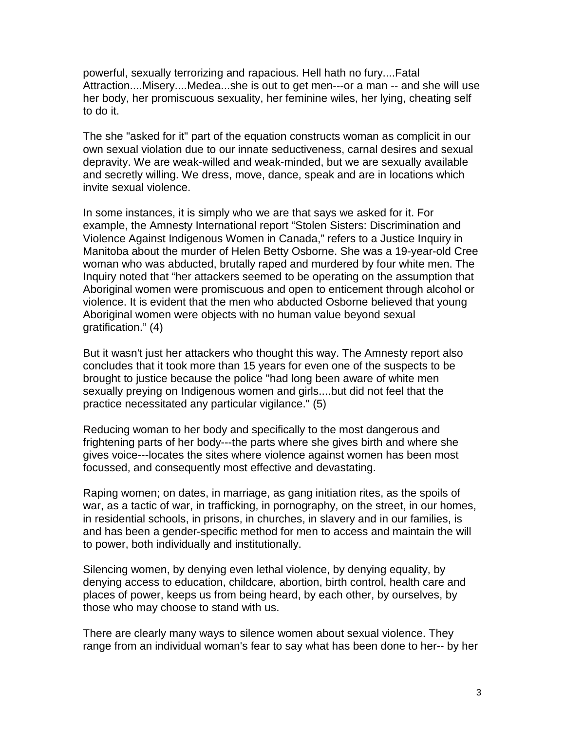powerful, sexually terrorizing and rapacious. Hell hath no fury....Fatal Attraction....Misery....Medea...she is out to get men---or a man -- and she will use her body, her promiscuous sexuality, her feminine wiles, her lying, cheating self to do it.

The she "asked for it" part of the equation constructs woman as complicit in our own sexual violation due to our innate seductiveness, carnal desires and sexual depravity. We are weak-willed and weak-minded, but we are sexually available and secretly willing. We dress, move, dance, speak and are in locations which invite sexual violence.

In some instances, it is simply who we are that says we asked for it. For example, the Amnesty International report "Stolen Sisters: Discrimination and Violence Against Indigenous Women in Canada," refers to a Justice Inquiry in Manitoba about the murder of Helen Betty Osborne. She was a 19-year-old Cree woman who was abducted, brutally raped and murdered by four white men. The Inquiry noted that "her attackers seemed to be operating on the assumption that Aboriginal women were promiscuous and open to enticement through alcohol or violence. It is evident that the men who abducted Osborne believed that young Aboriginal women were objects with no human value beyond sexual gratification." (4)

But it wasn't just her attackers who thought this way. The Amnesty report also concludes that it took more than 15 years for even one of the suspects to be brought to justice because the police "had long been aware of white men sexually preying on Indigenous women and girls....but did not feel that the practice necessitated any particular vigilance." (5)

Reducing woman to her body and specifically to the most dangerous and frightening parts of her body---the parts where she gives birth and where she gives voice---locates the sites where violence against women has been most focussed, and consequently most effective and devastating.

Raping women; on dates, in marriage, as gang initiation rites, as the spoils of war, as a tactic of war, in trafficking, in pornography, on the street, in our homes, in residential schools, in prisons, in churches, in slavery and in our families, is and has been a gender-specific method for men to access and maintain the will to power, both individually and institutionally.

Silencing women, by denying even lethal violence, by denying equality, by denying access to education, childcare, abortion, birth control, health care and places of power, keeps us from being heard, by each other, by ourselves, by those who may choose to stand with us.

There are clearly many ways to silence women about sexual violence. They range from an individual woman's fear to say what has been done to her-- by her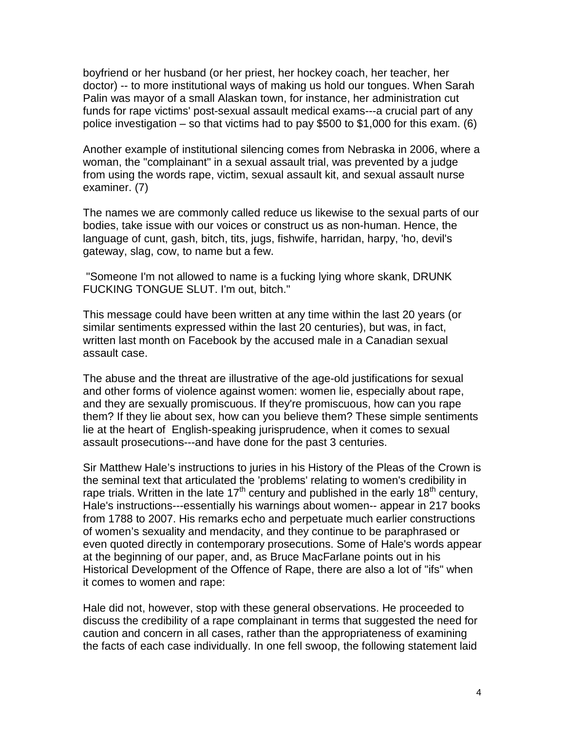boyfriend or her husband (or her priest, her hockey coach, her teacher, her doctor) -- to more institutional ways of making us hold our tongues. When Sarah Palin was mayor of a small Alaskan town, for instance, her administration cut funds for rape victims' post-sexual assault medical exams---a crucial part of any police investigation – so that victims had to pay \$500 to \$1,000 for this exam. (6)

Another example of institutional silencing comes from Nebraska in 2006, where a woman, the "complainant" in a sexual assault trial, was prevented by a judge from using the words rape, victim, sexual assault kit, and sexual assault nurse examiner. (7)

The names we are commonly called reduce us likewise to the sexual parts of our bodies, take issue with our voices or construct us as non-human. Hence, the language of cunt, gash, bitch, tits, jugs, fishwife, harridan, harpy, 'ho, devil's gateway, slag, cow, to name but a few.

"Someone I'm not allowed to name is a fucking lying whore skank, DRUNK FUCKING TONGUE SLUT. I'm out, bitch."

This message could have been written at any time within the last 20 years (or similar sentiments expressed within the last 20 centuries), but was, in fact, written last month on Facebook by the accused male in a Canadian sexual assault case.

The abuse and the threat are illustrative of the age-old justifications for sexual and other forms of violence against women: women lie, especially about rape, and they are sexually promiscuous. If they're promiscuous, how can you rape them? If they lie about sex, how can you believe them? These simple sentiments lie at the heart of English-speaking jurisprudence, when it comes to sexual assault prosecutions---and have done for the past 3 centuries.

Sir Matthew Hale's instructions to juries in his History of the Pleas of the Crown is the seminal text that articulated the 'problems' relating to women's credibility in rape trials. Written in the late  $17<sup>th</sup>$  century and published in the early  $18<sup>th</sup>$  century, Hale's instructions---essentially his warnings about women-- appear in 217 books from 1788 to 2007. His remarks echo and perpetuate much earlier constructions of women's sexuality and mendacity, and they continue to be paraphrased or even quoted directly in contemporary prosecutions. Some of Hale's words appear at the beginning of our paper, and, as Bruce MacFarlane points out in his Historical Development of the Offence of Rape, there are also a lot of "ifs" when it comes to women and rape:

Hale did not, however, stop with these general observations. He proceeded to discuss the credibility of a rape complainant in terms that suggested the need for caution and concern in all cases, rather than the appropriateness of examining the facts of each case individually. In one fell swoop, the following statement laid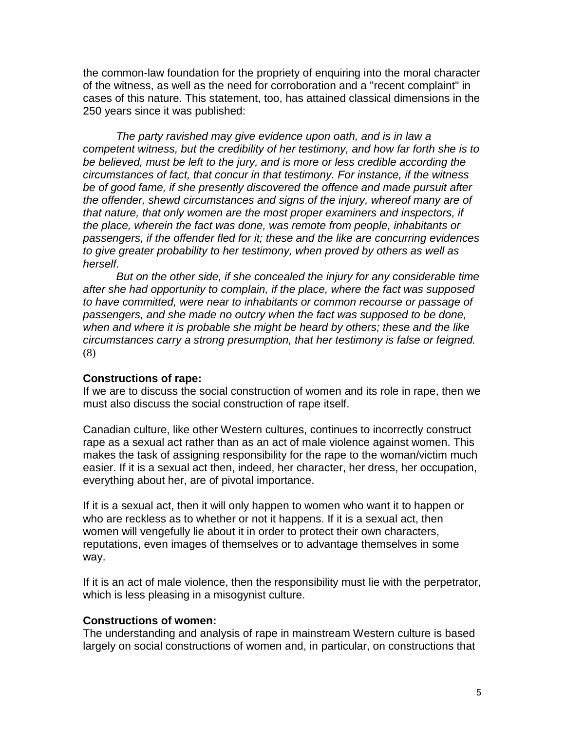the common-law foundation for the propriety of enquiring into the moral character of the witness, as well as the need for corroboration and a "recent complaint" in cases of this nature. This statement, too, has attained classical dimensions in the 250 years since it was published:

*The party ravished may give evidence upon oath, and is in law a competent witness, but the credibility of her testimony, and how far forth she is to be believed, must be left to the jury, and is more or less credible according the circumstances of fact, that concur in that testimony. For instance, if the witness be of good fame, if she presently discovered the offence and made pursuit after the offender, shewd circumstances and signs of the injury, whereof many are of that nature, that only women are the most proper examiners and inspectors, if the place, wherein the fact was done, was remote from people, inhabitants or passengers, if the offender fled for it; these and the like are concurring evidences to give greater probability to her testimony, when proved by others as well as herself.* 

*But on the other side, if she concealed the injury for any considerable time after she had opportunity to complain, if the place, where the fact was supposed to have committed, were near to inhabitants or common recourse or passage of passengers, and she made no outcry when the fact was supposed to be done, when and where it is probable she might be heard by others; these and the like circumstances carry a strong presumption, that her testimony is false or feigned.*  (8)

#### **Constructions of rape:**

If we are to discuss the social construction of women and its role in rape, then we must also discuss the social construction of rape itself.

Canadian culture, like other Western cultures, continues to incorrectly construct rape as a sexual act rather than as an act of male violence against women. This makes the task of assigning responsibility for the rape to the woman/victim much easier. If it is a sexual act then, indeed, her character, her dress, her occupation, everything about her, are of pivotal importance.

If it is a sexual act, then it will only happen to women who want it to happen or who are reckless as to whether or not it happens. If it is a sexual act, then women will vengefully lie about it in order to protect their own characters, reputations, even images of themselves or to advantage themselves in some way.

If it is an act of male violence, then the responsibility must lie with the perpetrator, which is less pleasing in a misogynist culture.

#### **Constructions of women:**

The understanding and analysis of rape in mainstream Western culture is based largely on social constructions of women and, in particular, on constructions that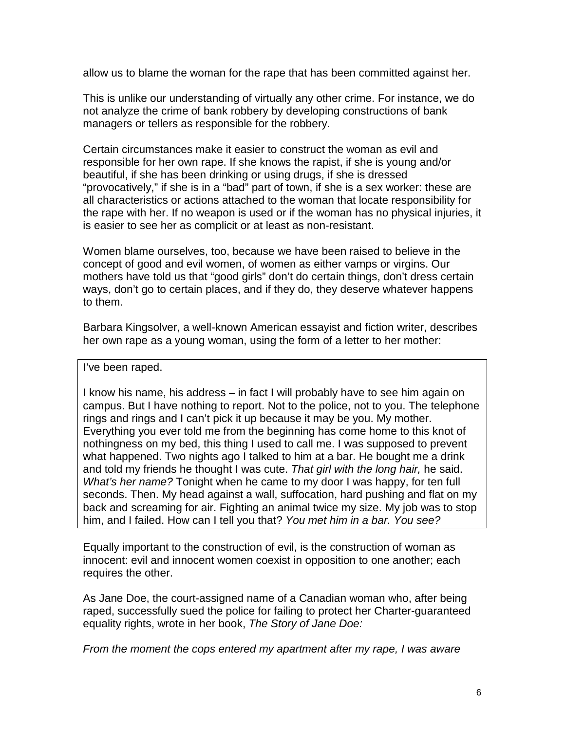allow us to blame the woman for the rape that has been committed against her.

This is unlike our understanding of virtually any other crime. For instance, we do not analyze the crime of bank robbery by developing constructions of bank managers or tellers as responsible for the robbery.

Certain circumstances make it easier to construct the woman as evil and responsible for her own rape. If she knows the rapist, if she is young and/or beautiful, if she has been drinking or using drugs, if she is dressed "provocatively," if she is in a "bad" part of town, if she is a sex worker: these are all characteristics or actions attached to the woman that locate responsibility for the rape with her. If no weapon is used or if the woman has no physical injuries, it is easier to see her as complicit or at least as non-resistant.

Women blame ourselves, too, because we have been raised to believe in the concept of good and evil women, of women as either vamps or virgins. Our mothers have told us that "good girls" don't do certain things, don't dress certain ways, don't go to certain places, and if they do, they deserve whatever happens to them.

Barbara Kingsolver, a well-known American essayist and fiction writer, describes her own rape as a young woman, using the form of a letter to her mother:

I've been raped.

I know his name, his address – in fact I will probably have to see him again on campus. But I have nothing to report. Not to the police, not to you. The telephone rings and rings and I can't pick it up because it may be you. My mother. Everything you ever told me from the beginning has come home to this knot of nothingness on my bed, this thing I used to call me. I was supposed to prevent what happened. Two nights ago I talked to him at a bar. He bought me a drink and told my friends he thought I was cute. *That girl with the long hair,* he said. *What's her name?* Tonight when he came to my door I was happy, for ten full seconds. Then. My head against a wall, suffocation, hard pushing and flat on my back and screaming for air. Fighting an animal twice my size. My job was to stop him, and I failed. How can I tell you that? *You met him in a bar. You see?*

Equally important to the construction of evil, is the construction of woman as innocent: evil and innocent women coexist in opposition to one another; each requires the other.

As Jane Doe, the court-assigned name of a Canadian woman who, after being raped, successfully sued the police for failing to protect her Charter-guaranteed equality rights, wrote in her book, *The Story of Jane Doe:*

*From the moment the cops entered my apartment after my rape, I was aware*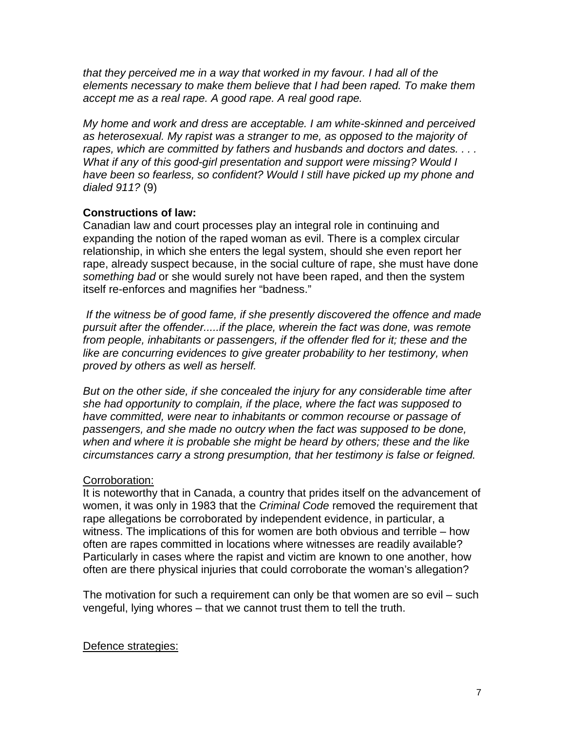*that they perceived me in a way that worked in my favour. I had all of the elements necessary to make them believe that I had been raped. To make them accept me as a real rape. A good rape. A real good rape.* 

*My home and work and dress are acceptable. I am white-skinned and perceived as heterosexual. My rapist was a stranger to me, as opposed to the majority of rapes, which are committed by fathers and husbands and doctors and dates. . . . What if any of this good-girl presentation and support were missing? Would I have been so fearless, so confident? Would I still have picked up my phone and dialed 911?* (9)

# **Constructions of law:**

Canadian law and court processes play an integral role in continuing and expanding the notion of the raped woman as evil. There is a complex circular relationship, in which she enters the legal system, should she even report her rape, already suspect because, in the social culture of rape, she must have done *something bad* or she would surely not have been raped, and then the system itself re-enforces and magnifies her "badness."

*If the witness be of good fame, if she presently discovered the offence and made pursuit after the offender.....if the place, wherein the fact was done, was remote from people, inhabitants or passengers, if the offender fled for it; these and the*  like are concurring evidences to give greater probability to her testimony, when *proved by others as well as herself.* 

*But on the other side, if she concealed the injury for any considerable time after she had opportunity to complain, if the place, where the fact was supposed to have committed, were near to inhabitants or common recourse or passage of passengers, and she made no outcry when the fact was supposed to be done, when and where it is probable she might be heard by others; these and the like circumstances carry a strong presumption, that her testimony is false or feigned.* 

# Corroboration:

It is noteworthy that in Canada, a country that prides itself on the advancement of women, it was only in 1983 that the *Criminal Code* removed the requirement that rape allegations be corroborated by independent evidence, in particular, a witness. The implications of this for women are both obvious and terrible – how often are rapes committed in locations where witnesses are readily available? Particularly in cases where the rapist and victim are known to one another, how often are there physical injuries that could corroborate the woman's allegation?

The motivation for such a requirement can only be that women are so evil – such vengeful, lying whores – that we cannot trust them to tell the truth.

# Defence strategies: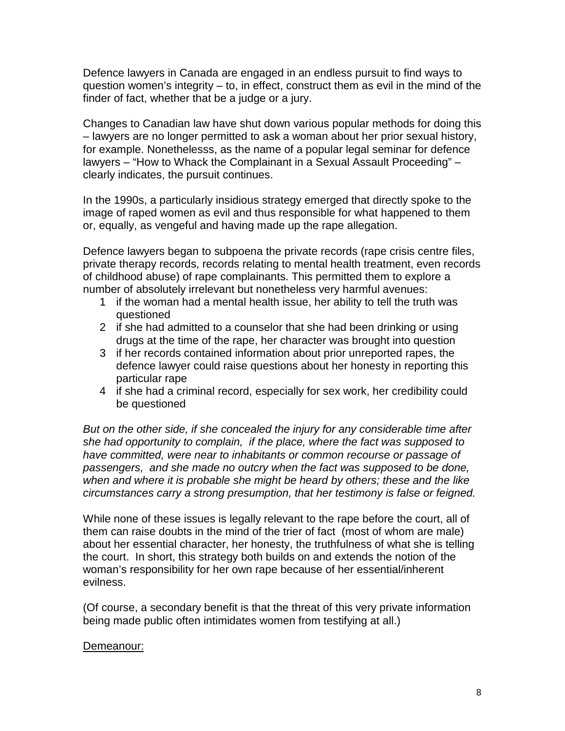Defence lawyers in Canada are engaged in an endless pursuit to find ways to question women's integrity – to, in effect, construct them as evil in the mind of the finder of fact, whether that be a judge or a jury.

Changes to Canadian law have shut down various popular methods for doing this – lawyers are no longer permitted to ask a woman about her prior sexual history, for example. Nonethelesss, as the name of a popular legal seminar for defence lawyers – "How to Whack the Complainant in a Sexual Assault Proceeding" – clearly indicates, the pursuit continues.

In the 1990s, a particularly insidious strategy emerged that directly spoke to the image of raped women as evil and thus responsible for what happened to them or, equally, as vengeful and having made up the rape allegation.

Defence lawyers began to subpoena the private records (rape crisis centre files, private therapy records, records relating to mental health treatment, even records of childhood abuse) of rape complainants. This permitted them to explore a number of absolutely irrelevant but nonetheless very harmful avenues:

- 1 if the woman had a mental health issue, her ability to tell the truth was questioned
- 2 if she had admitted to a counselor that she had been drinking or using drugs at the time of the rape, her character was brought into question
- 3 if her records contained information about prior unreported rapes, the defence lawyer could raise questions about her honesty in reporting this particular rape
- 4 if she had a criminal record, especially for sex work, her credibility could be questioned

*But on the other side, if she concealed the injury for any considerable time after she had opportunity to complain, if the place, where the fact was supposed to have committed, were near to inhabitants or common recourse or passage of passengers, and she made no outcry when the fact was supposed to be done, when and where it is probable she might be heard by others; these and the like circumstances carry a strong presumption, that her testimony is false or feigned.* 

While none of these issues is legally relevant to the rape before the court, all of them can raise doubts in the mind of the trier of fact (most of whom are male) about her essential character, her honesty, the truthfulness of what she is telling the court. In short, this strategy both builds on and extends the notion of the woman's responsibility for her own rape because of her essential/inherent evilness.

(Of course, a secondary benefit is that the threat of this very private information being made public often intimidates women from testifying at all.)

# Demeanour: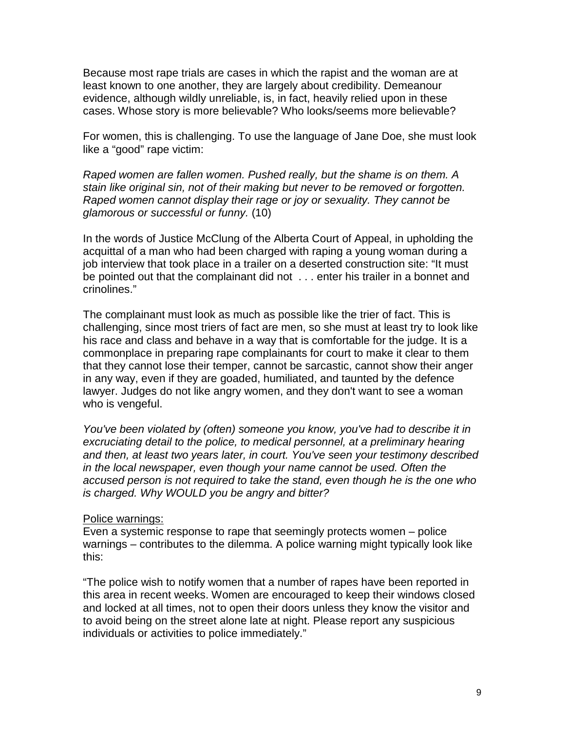Because most rape trials are cases in which the rapist and the woman are at least known to one another, they are largely about credibility. Demeanour evidence, although wildly unreliable, is, in fact, heavily relied upon in these cases. Whose story is more believable? Who looks/seems more believable?

For women, this is challenging. To use the language of Jane Doe, she must look like a "good" rape victim:

*Raped women are fallen women. Pushed really, but the shame is on them. A stain like original sin, not of their making but never to be removed or forgotten. Raped women cannot display their rage or joy or sexuality. They cannot be glamorous or successful or funny.* (10)

In the words of Justice McClung of the Alberta Court of Appeal, in upholding the acquittal of a man who had been charged with raping a young woman during a job interview that took place in a trailer on a deserted construction site: "It must be pointed out that the complainant did not . . . enter his trailer in a bonnet and crinolines."

The complainant must look as much as possible like the trier of fact. This is challenging, since most triers of fact are men, so she must at least try to look like his race and class and behave in a way that is comfortable for the judge. It is a commonplace in preparing rape complainants for court to make it clear to them that they cannot lose their temper, cannot be sarcastic, cannot show their anger in any way, even if they are goaded, humiliated, and taunted by the defence lawyer. Judges do not like angry women, and they don't want to see a woman who is vengeful.

*You've been violated by (often) someone you know, you've had to describe it in excruciating detail to the police, to medical personnel, at a preliminary hearing and then, at least two years later, in court. You've seen your testimony described in the local newspaper, even though your name cannot be used. Often the accused person is not required to take the stand, even though he is the one who is charged. Why WOULD you be angry and bitter?*

#### Police warnings:

Even a systemic response to rape that seemingly protects women – police warnings – contributes to the dilemma. A police warning might typically look like this:

"The police wish to notify women that a number of rapes have been reported in this area in recent weeks. Women are encouraged to keep their windows closed and locked at all times, not to open their doors unless they know the visitor and to avoid being on the street alone late at night. Please report any suspicious individuals or activities to police immediately."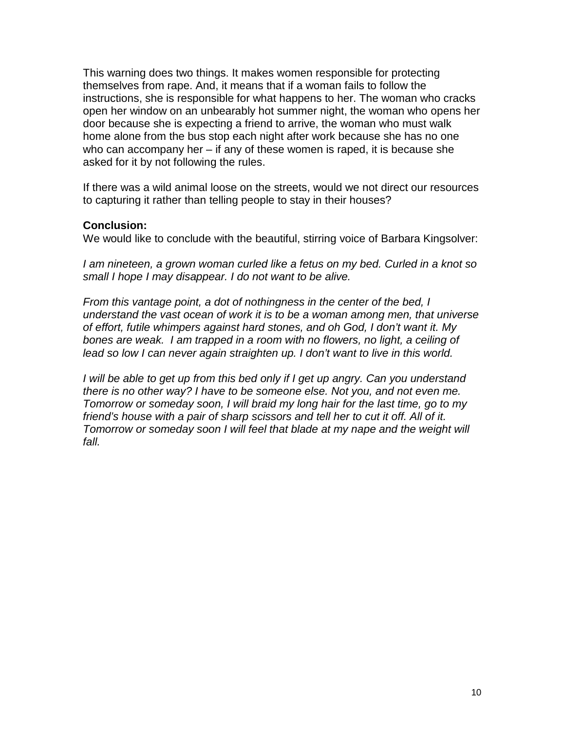This warning does two things. It makes women responsible for protecting themselves from rape. And, it means that if a woman fails to follow the instructions, she is responsible for what happens to her. The woman who cracks open her window on an unbearably hot summer night, the woman who opens her door because she is expecting a friend to arrive, the woman who must walk home alone from the bus stop each night after work because she has no one who can accompany her – if any of these women is raped, it is because she asked for it by not following the rules.

If there was a wild animal loose on the streets, would we not direct our resources to capturing it rather than telling people to stay in their houses?

### **Conclusion:**

We would like to conclude with the beautiful, stirring voice of Barbara Kingsolver:

*I am nineteen, a grown woman curled like a fetus on my bed. Curled in a knot so small I hope I may disappear. I do not want to be alive.*

*From this vantage point, a dot of nothingness in the center of the bed, I understand the vast ocean of work it is to be a woman among men, that universe of effort, futile whimpers against hard stones, and oh God, I don't want it. My bones are weak. I am trapped in a room with no flowers, no light, a ceiling of lead so low I can never again straighten up. I don't want to live in this world.*

*I* will be able to get up from this bed only if I get up angry. Can you understand *there is no other way? I have to be someone else. Not you, and not even me. Tomorrow or someday soon, I will braid my long hair for the last time, go to my friend's house with a pair of sharp scissors and tell her to cut it off. All of it. Tomorrow or someday soon I will feel that blade at my nape and the weight will fall.*